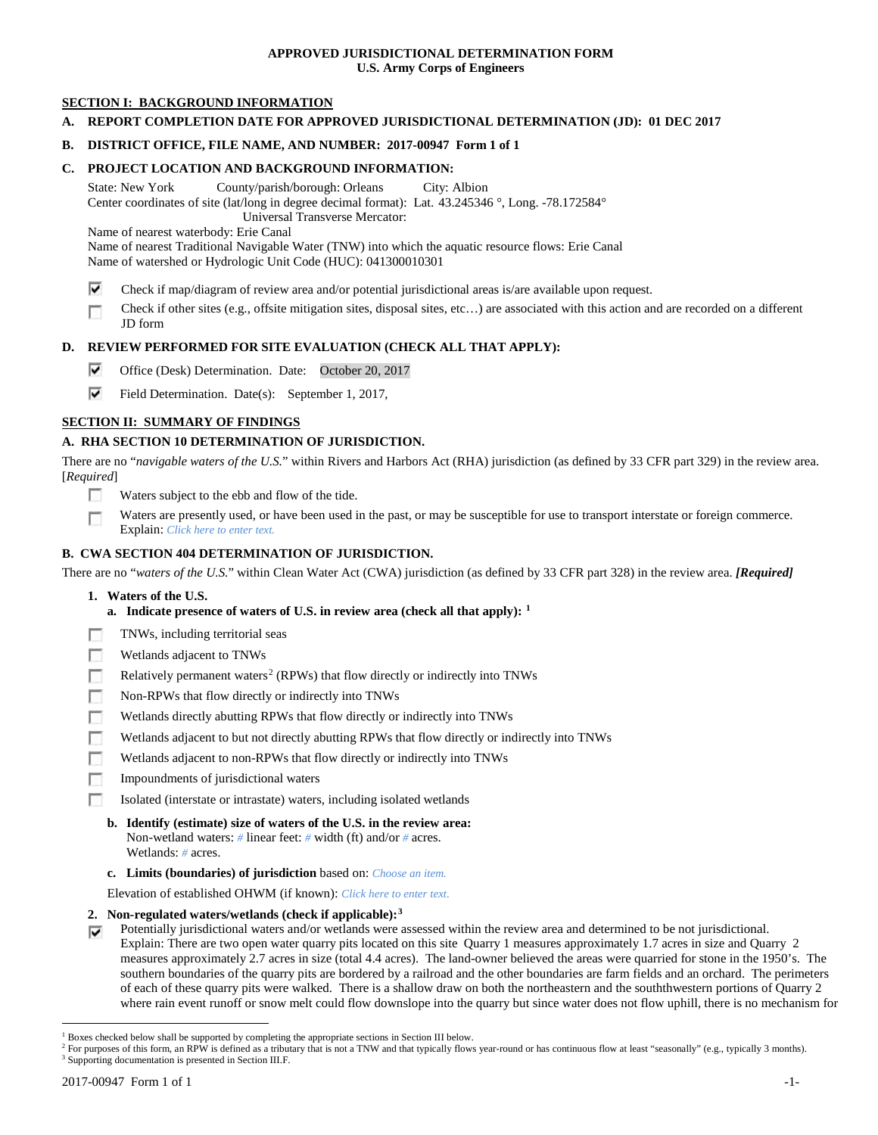### **APPROVED JURISDICTIONAL DETERMINATION FORM U.S. Army Corps of Engineers**

# **SECTION I: BACKGROUND INFORMATION**

**A. REPORT COMPLETION DATE FOR APPROVED JURISDICTIONAL DETERMINATION (JD): 01 DEC 2017**

### **B. DISTRICT OFFICE, FILE NAME, AND NUMBER: 2017-00947 Form 1 of 1**

# **C. PROJECT LOCATION AND BACKGROUND INFORMATION:**

State: New York County/parish/borough: Orleans City: Albion Center coordinates of site (lat/long in degree decimal format): Lat. 43.245346 °, Long. -78.172584°

Universal Transverse Mercator:

Name of nearest waterbody: Erie Canal

Name of nearest Traditional Navigable Water (TNW) into which the aquatic resource flows: Erie Canal Name of watershed or Hydrologic Unit Code (HUC): 041300010301

- ⊽ Check if map/diagram of review area and/or potential jurisdictional areas is/are available upon request.
- Check if other sites (e.g., offsite mitigation sites, disposal sites, etc…) are associated with this action and are recorded on a different п JD form

# **D. REVIEW PERFORMED FOR SITE EVALUATION (CHECK ALL THAT APPLY):**

- ⊽ Office (Desk) Determination. Date: October 20, 2017
- ⊽ Field Determination. Date(s): September 1, 2017,

## **SECTION II: SUMMARY OF FINDINGS**

## **A. RHA SECTION 10 DETERMINATION OF JURISDICTION.**

There are no "*navigable waters of the U.S.*" within Rivers and Harbors Act (RHA) jurisdiction (as defined by 33 CFR part 329) in the review area. [*Required*]

- Waters subject to the ebb and flow of the tide. n
- Waters are presently used, or have been used in the past, or may be susceptible for use to transport interstate or foreign commerce. г Explain: *Click here to enter text.*

# **B. CWA SECTION 404 DETERMINATION OF JURISDICTION.**

There are no "*waters of the U.S.*" within Clean Water Act (CWA) jurisdiction (as defined by 33 CFR part 328) in the review area. *[Required]*

**1. Waters of the U.S.**

## **a. Indicate presence of waters of U.S. in review area (check all that apply): [1](#page-0-0)**

- TNWs, including territorial seas г
- Wetlands adjacent to TNWs 同
- п Relatively permanent waters<sup>[2](#page-0-1)</sup> (RPWs) that flow directly or indirectly into TNWs
- Non-RPWs that flow directly or indirectly into TNWs
- п Wetlands directly abutting RPWs that flow directly or indirectly into TNWs
- Wetlands adjacent to but not directly abutting RPWs that flow directly or indirectly into TNWs п
- Wetlands adjacent to non-RPWs that flow directly or indirectly into TNWs Б
- п Impoundments of jurisdictional waters
- m Isolated (interstate or intrastate) waters, including isolated wetlands
	- **b. Identify (estimate) size of waters of the U.S. in the review area:** Non-wetland waters: *#* linear feet: *#* width (ft) and/or *#* acres. Wetlands: *#* acres.
	- **c. Limits (boundaries) of jurisdiction** based on: *Choose an item.*

Elevation of established OHWM (if known): *Click here to enter text.*

- **2. Non-regulated waters/wetlands (check if applicable):[3](#page-0-2)**
- Potentially jurisdictional waters and/or wetlands were assessed within the review area and determined to be not jurisdictional. ⊽ Explain: There are two open water quarry pits located on this site Quarry 1 measures approximately 1.7 acres in size and Quarry 2 measures approximately 2.7 acres in size (total 4.4 acres). The land-owner believed the areas were quarried for stone in the 1950's. The southern boundaries of the quarry pits are bordered by a railroad and the other boundaries are farm fields and an orchard. The perimeters of each of these quarry pits were walked. There is a shallow draw on both the northeastern and the souththwestern portions of Quarry 2 where rain event runoff or snow melt could flow downslope into the quarry but since water does not flow uphill, there is no mechanism for

<span id="page-0-1"></span><span id="page-0-0"></span> <sup>1</sup> Boxes checked below shall be supported by completing the appropriate sections in Section III below.

<sup>&</sup>lt;sup>2</sup> For purposes of this form, an RPW is defined as a tributary that is not a TNW and that typically flows year-round or has continuous flow at least "seasonally" (e.g., typically 3 months).

<span id="page-0-2"></span><sup>3</sup> Supporting documentation is presented in Section III.F.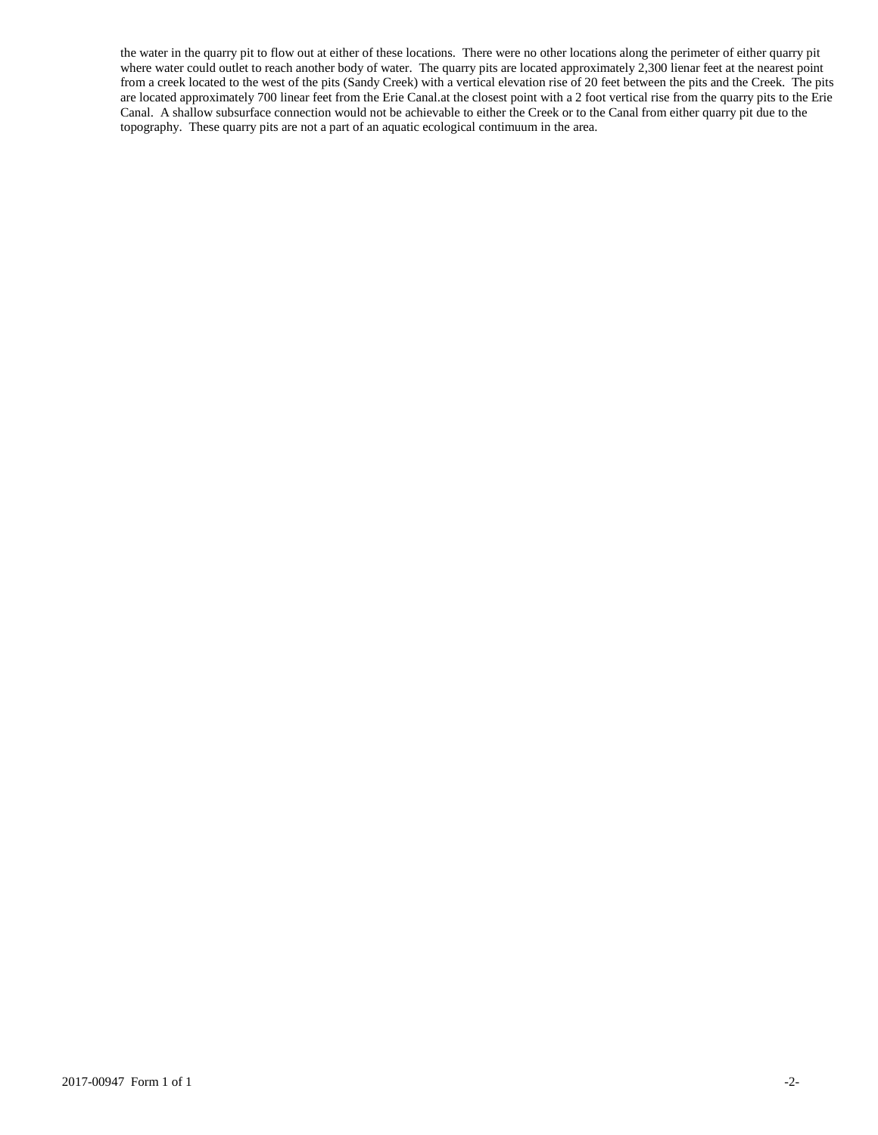the water in the quarry pit to flow out at either of these locations. There were no other locations along the perimeter of either quarry pit where water could outlet to reach another body of water. The quarry pits are located approximately 2,300 lienar feet at the nearest point from a creek located to the west of the pits (Sandy Creek) with a vertical elevation rise of 20 feet between the pits and the Creek. The pits are located approximately 700 linear feet from the Erie Canal.at the closest point with a 2 foot vertical rise from the quarry pits to the Erie Canal. A shallow subsurface connection would not be achievable to either the Creek or to the Canal from either quarry pit due to the topography. These quarry pits are not a part of an aquatic ecological contimuum in the area.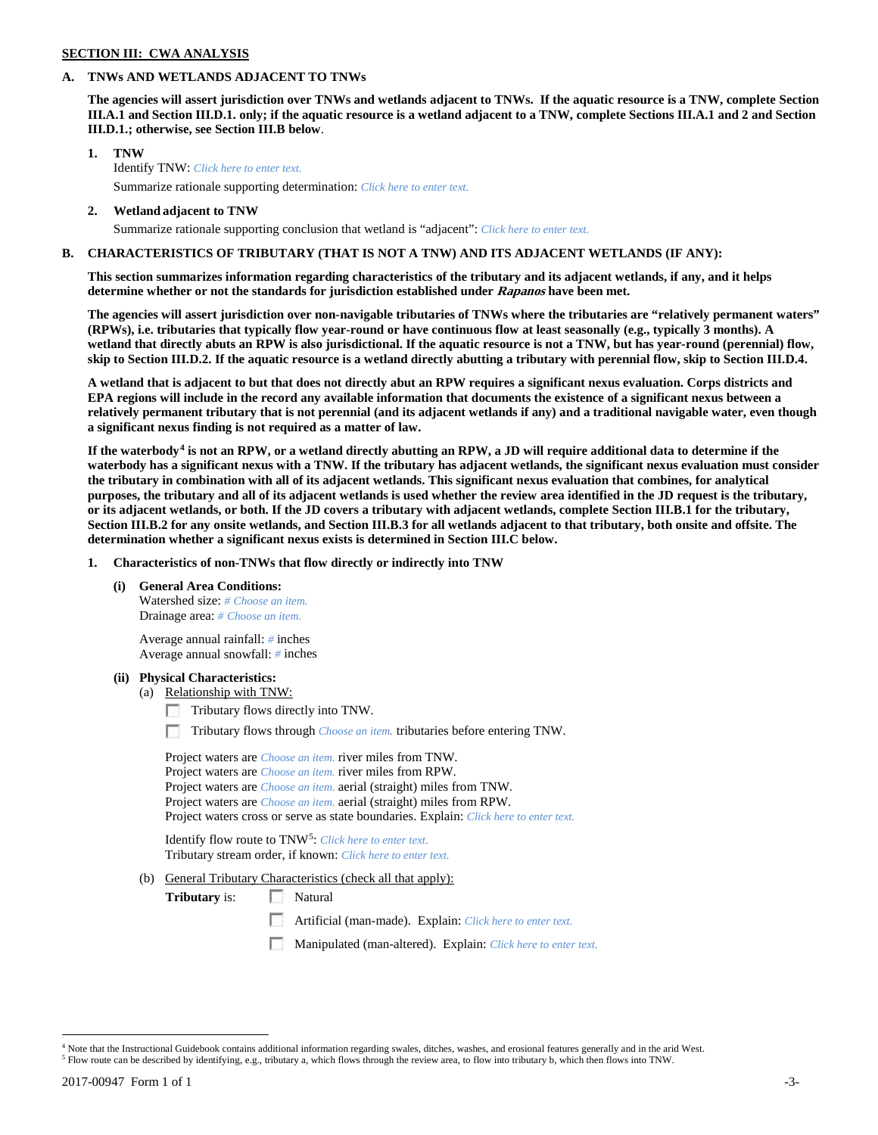# **SECTION III: CWA ANALYSIS**

### **A. TNWs AND WETLANDS ADJACENT TO TNWs**

**The agencies will assert jurisdiction over TNWs and wetlands adjacent to TNWs. If the aquatic resource is a TNW, complete Section III.A.1 and Section III.D.1. only; if the aquatic resource is a wetland adjacent to a TNW, complete Sections III.A.1 and 2 and Section III.D.1.; otherwise, see Section III.B below**.

- **1. TNW**  Identify TNW: *Click here to enter text.*
	- Summarize rationale supporting determination: *Click here to enter text.*
- **2. Wetland adjacent to TNW** Summarize rationale supporting conclusion that wetland is "adjacent": *Click here to enter text.*

## **B. CHARACTERISTICS OF TRIBUTARY (THAT IS NOT A TNW) AND ITS ADJACENT WETLANDS (IF ANY):**

**This section summarizes information regarding characteristics of the tributary and its adjacent wetlands, if any, and it helps determine whether or not the standards for jurisdiction established under Rapanos have been met.** 

**The agencies will assert jurisdiction over non-navigable tributaries of TNWs where the tributaries are "relatively permanent waters" (RPWs), i.e. tributaries that typically flow year-round or have continuous flow at least seasonally (e.g., typically 3 months). A wetland that directly abuts an RPW is also jurisdictional. If the aquatic resource is not a TNW, but has year-round (perennial) flow, skip to Section III.D.2. If the aquatic resource is a wetland directly abutting a tributary with perennial flow, skip to Section III.D.4.**

**A wetland that is adjacent to but that does not directly abut an RPW requires a significant nexus evaluation. Corps districts and EPA regions will include in the record any available information that documents the existence of a significant nexus between a relatively permanent tributary that is not perennial (and its adjacent wetlands if any) and a traditional navigable water, even though a significant nexus finding is not required as a matter of law.**

**If the waterbody[4](#page-2-0) is not an RPW, or a wetland directly abutting an RPW, a JD will require additional data to determine if the waterbody has a significant nexus with a TNW. If the tributary has adjacent wetlands, the significant nexus evaluation must consider the tributary in combination with all of its adjacent wetlands. This significant nexus evaluation that combines, for analytical purposes, the tributary and all of its adjacent wetlands is used whether the review area identified in the JD request is the tributary, or its adjacent wetlands, or both. If the JD covers a tributary with adjacent wetlands, complete Section III.B.1 for the tributary, Section III.B.2 for any onsite wetlands, and Section III.B.3 for all wetlands adjacent to that tributary, both onsite and offsite. The determination whether a significant nexus exists is determined in Section III.C below.**

**1. Characteristics of non-TNWs that flow directly or indirectly into TNW**

**(i) General Area Conditions:**

Watershed size: *# Choose an item.* Drainage area: *# Choose an item.*

Average annual rainfall: *#* inches Average annual snowfall: *#* inches

### **(ii) Physical Characteristics:**

- (a) Relationship with TNW:
	- Tributary flows directly into TNW.

n Tributary flows through *Choose an item.* tributaries before entering TNW.

Project waters are *Choose an item.* river miles from TNW. Project waters are *Choose an item.* river miles from RPW. Project waters are *Choose an item.* aerial (straight) miles from TNW. Project waters are *Choose an item.* aerial (straight) miles from RPW. Project waters cross or serve as state boundaries. Explain: *Click here to enter text.*

Identify flow route to TNW[5:](#page-2-1) *Click here to enter text.* Tributary stream order, if known: *Click here to enter text.*

(b) General Tributary Characteristics (check all that apply):

**Tributary** is: Natural

- Artificial (man-made). Explain: *Click here to enter text.*
- Manipulated (man-altered). Explain: *Click here to enter text.*

<span id="page-2-0"></span> $4$  Note that the Instructional Guidebook contains additional information regarding swales, ditches, washes, and erosional features generally and in the arid West.

<span id="page-2-1"></span><sup>5</sup> Flow route can be described by identifying, e.g., tributary a, which flows through the review area, to flow into tributary b, which then flows into TNW.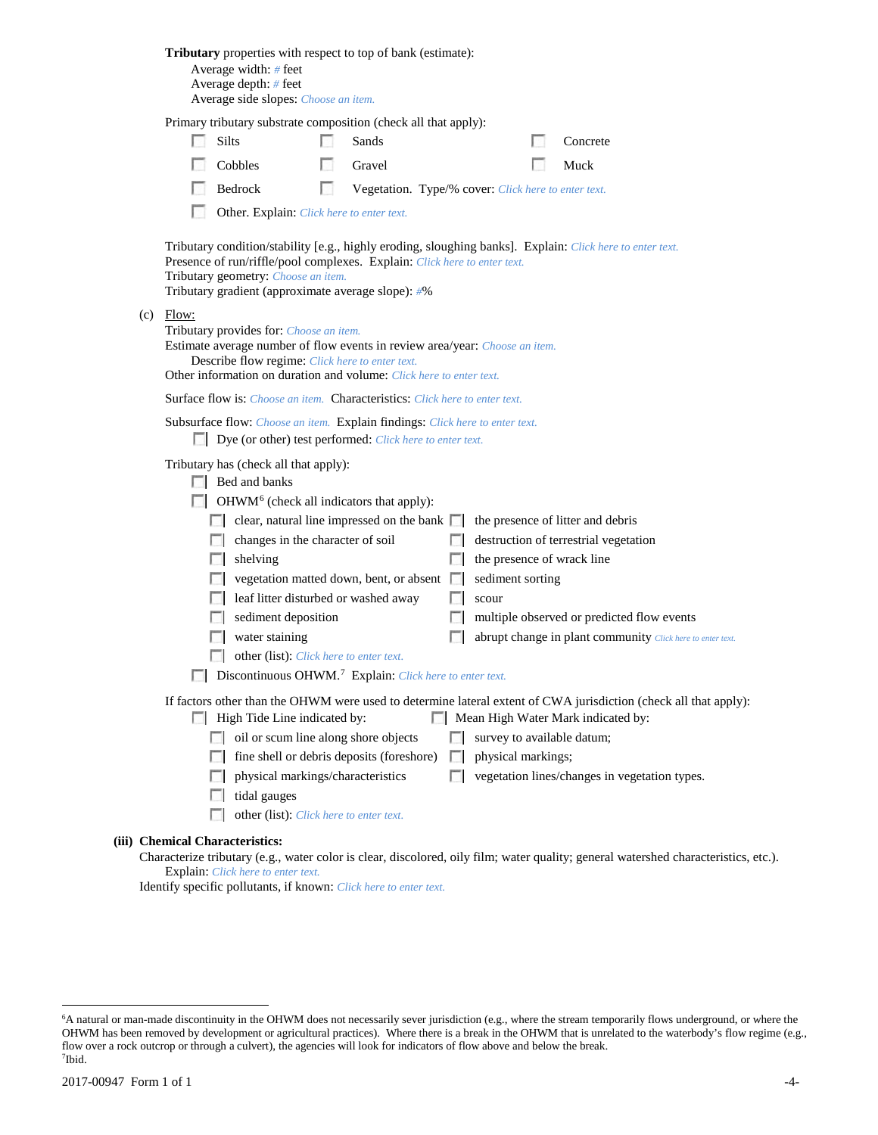|     |                                                                                                                                                                                                                                                                                     | <b>Tributary</b> properties with respect to top of bank (estimate):<br>Average width: # feet<br>Average depth: # feet<br>Average side slopes: Choose an item.                                                                                    |  |                                                     |              |                                   |  |                                                                                                                                     |
|-----|-------------------------------------------------------------------------------------------------------------------------------------------------------------------------------------------------------------------------------------------------------------------------------------|--------------------------------------------------------------------------------------------------------------------------------------------------------------------------------------------------------------------------------------------------|--|-----------------------------------------------------|--------------|-----------------------------------|--|-------------------------------------------------------------------------------------------------------------------------------------|
|     | Primary tributary substrate composition (check all that apply):<br>Silts<br>Sands                                                                                                                                                                                                   |                                                                                                                                                                                                                                                  |  |                                                     |              |                                   |  | Concrete                                                                                                                            |
|     |                                                                                                                                                                                                                                                                                     | Cobbles                                                                                                                                                                                                                                          |  | Gravel                                              |              |                                   |  | Muck                                                                                                                                |
|     |                                                                                                                                                                                                                                                                                     |                                                                                                                                                                                                                                                  |  |                                                     |              |                                   |  |                                                                                                                                     |
|     |                                                                                                                                                                                                                                                                                     | Bedrock                                                                                                                                                                                                                                          |  | Vegetation. Type/% cover: Click here to enter text. |              |                                   |  |                                                                                                                                     |
|     |                                                                                                                                                                                                                                                                                     | Other. Explain: Click here to enter text.                                                                                                                                                                                                        |  |                                                     |              |                                   |  |                                                                                                                                     |
| (c) | Tributary condition/stability [e.g., highly eroding, sloughing banks]. Explain: Click here to enter text.<br>Presence of run/riffle/pool complexes. Explain: Click here to enter text.<br>Tributary geometry: Choose an item.<br>Tributary gradient (approximate average slope): #% |                                                                                                                                                                                                                                                  |  |                                                     |              |                                   |  |                                                                                                                                     |
|     | Flow:                                                                                                                                                                                                                                                                               | Tributary provides for: Choose an item.<br>Estimate average number of flow events in review area/year: Choose an item.<br>Describe flow regime: Click here to enter text.<br>Other information on duration and volume: Click here to enter text. |  |                                                     |              |                                   |  |                                                                                                                                     |
|     |                                                                                                                                                                                                                                                                                     | <b>Surface flow is:</b> Choose an item. <b>Characteristics:</b> Click here to enter text.                                                                                                                                                        |  |                                                     |              |                                   |  |                                                                                                                                     |
|     |                                                                                                                                                                                                                                                                                     | Subsurface flow: Choose an item. Explain findings: Click here to enter text.<br>Dye (or other) test performed: Click here to enter text.                                                                                                         |  |                                                     |              |                                   |  |                                                                                                                                     |
|     | Tributary has (check all that apply):<br>$\Box$ Bed and banks<br>$\Box$ OHWM <sup>6</sup> (check all indicators that apply):                                                                                                                                                        |                                                                                                                                                                                                                                                  |  |                                                     |              |                                   |  |                                                                                                                                     |
|     |                                                                                                                                                                                                                                                                                     | $\Box$ clear, natural line impressed on the bank $\Box$                                                                                                                                                                                          |  |                                                     |              | the presence of litter and debris |  |                                                                                                                                     |
|     |                                                                                                                                                                                                                                                                                     | changes in the character of soil<br><b>Allen</b>                                                                                                                                                                                                 |  |                                                     |              |                                   |  | destruction of terrestrial vegetation                                                                                               |
|     |                                                                                                                                                                                                                                                                                     | shelving                                                                                                                                                                                                                                         |  |                                                     | <b>Fill</b>  | the presence of wrack line        |  |                                                                                                                                     |
|     |                                                                                                                                                                                                                                                                                     |                                                                                                                                                                                                                                                  |  | vegetation matted down, bent, or absent             |              | sediment sorting                  |  |                                                                                                                                     |
|     |                                                                                                                                                                                                                                                                                     | leaf litter disturbed or washed away                                                                                                                                                                                                             |  |                                                     |              | scour                             |  |                                                                                                                                     |
|     |                                                                                                                                                                                                                                                                                     | sediment deposition<br><b>COLLEGE</b>                                                                                                                                                                                                            |  |                                                     | L.           |                                   |  | multiple observed or predicted flow events                                                                                          |
|     |                                                                                                                                                                                                                                                                                     | water staining                                                                                                                                                                                                                                   |  |                                                     |              |                                   |  | abrupt change in plant community Click here to enter text.                                                                          |
|     |                                                                                                                                                                                                                                                                                     | other (list): Click here to enter text.                                                                                                                                                                                                          |  |                                                     |              |                                   |  |                                                                                                                                     |
|     |                                                                                                                                                                                                                                                                                     | $\Box$ Discontinuous OHWM. <sup>7</sup> Explain: Click here to enter text.                                                                                                                                                                       |  |                                                     |              |                                   |  |                                                                                                                                     |
|     | If factors other than the OHWM were used to determine lateral extent of CWA jurisdiction (check all that apply):<br>High Tide Line indicated by:<br>Mean High Water Mark indicated by:                                                                                              |                                                                                                                                                                                                                                                  |  |                                                     |              |                                   |  |                                                                                                                                     |
|     |                                                                                                                                                                                                                                                                                     | oil or scum line along shore objects                                                                                                                                                                                                             |  |                                                     |              | survey to available datum;        |  |                                                                                                                                     |
|     |                                                                                                                                                                                                                                                                                     |                                                                                                                                                                                                                                                  |  | fine shell or debris deposits (foreshore)           | <b>I</b> and | physical markings;                |  |                                                                                                                                     |
|     |                                                                                                                                                                                                                                                                                     | physical markings/characteristics                                                                                                                                                                                                                |  |                                                     |              |                                   |  | vegetation lines/changes in vegetation types.                                                                                       |
|     |                                                                                                                                                                                                                                                                                     | tidal gauges                                                                                                                                                                                                                                     |  |                                                     |              |                                   |  |                                                                                                                                     |
|     |                                                                                                                                                                                                                                                                                     | other (list): Click here to enter text.<br><b>COL</b>                                                                                                                                                                                            |  |                                                     |              |                                   |  |                                                                                                                                     |
|     |                                                                                                                                                                                                                                                                                     | (iii) Chemical Characteristics:                                                                                                                                                                                                                  |  |                                                     |              |                                   |  | Characterize tributary (e.g., water color is clear, discolored, oily film; water quality; general watershed characteristics, etc.). |

Explain: *Click here to enter text.*

Identify specific pollutants, if known: *Click here to enter text.*

<span id="page-3-1"></span><span id="page-3-0"></span> <sup>6</sup> <sup>6</sup>A natural or man-made discontinuity in the OHWM does not necessarily sever jurisdiction (e.g., where the stream temporarily flows underground, or where the OHWM has been removed by development or agricultural practices). Where there is a break in the OHWM that is unrelated to the waterbody's flow regime (e.g., flow over a rock outcrop or through a culvert), the agencies will look for indicators of flow above and below the break. 7 Ibid.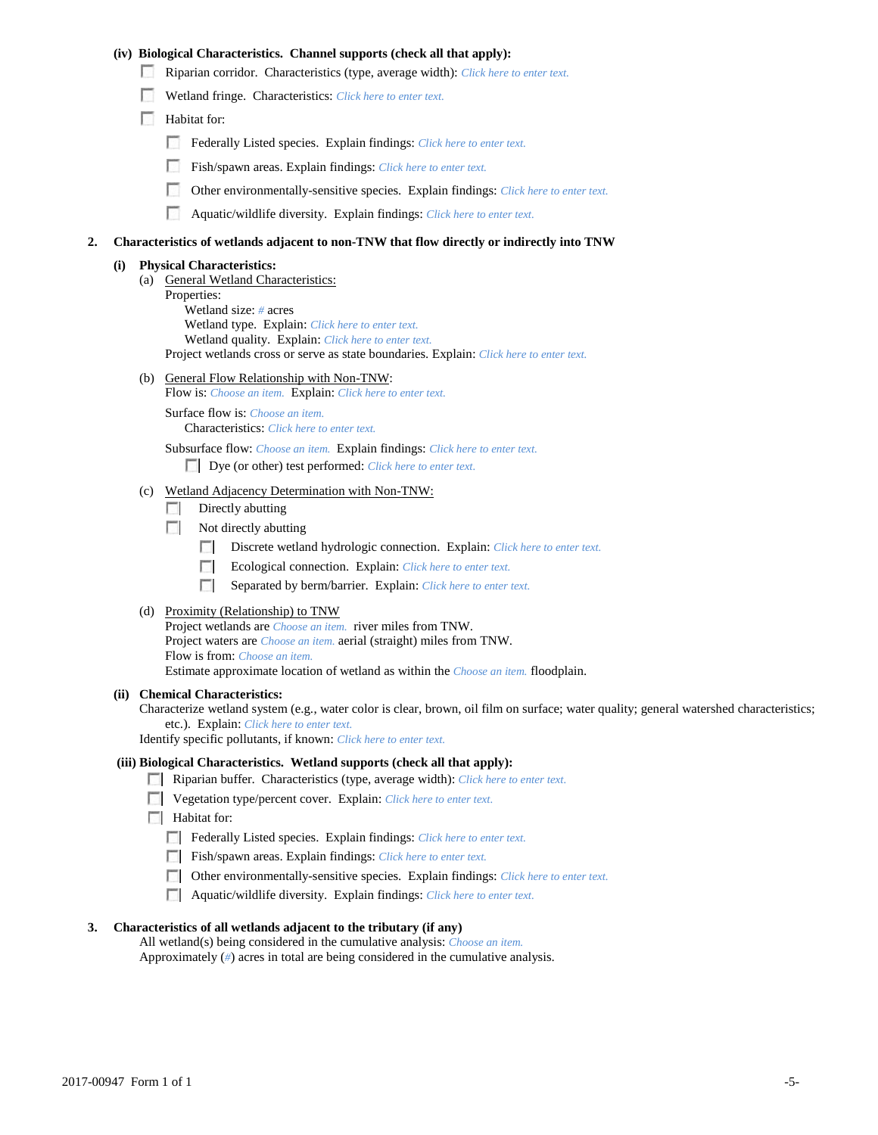### **(iv) Biological Characteristics. Channel supports (check all that apply):**

- Riparian corridor. Characteristics (type, average width): *Click here to enter text.*
- Wetland fringe. Characteristics: *Click here to enter text.*
- Habitat for:
	- Federally Listed species. Explain findings: *Click here to enter text.*
	- Fish/spawn areas. Explain findings: *Click here to enter text.*
	- Other environmentally-sensitive species. Explain findings: *Click here to enter text.* п.
	- n Aquatic/wildlife diversity. Explain findings: *Click here to enter text.*

#### **2. Characteristics of wetlands adjacent to non-TNW that flow directly or indirectly into TNW**

### **(i) Physical Characteristics:**

- (a) General Wetland Characteristics:
	- Properties:

Wetland size: *#* acres Wetland type. Explain: *Click here to enter text.*

Wetland quality. Explain: *Click here to enter text.*

Project wetlands cross or serve as state boundaries. Explain: *Click here to enter text.*

(b) General Flow Relationship with Non-TNW: Flow is: *Choose an item.* Explain: *Click here to enter text.*

Surface flow is: *Choose an item.* Characteristics: *Click here to enter text.*

Subsurface flow: *Choose an item.* Explain findings: *Click here to enter text.*

Dye (or other) test performed: *Click here to enter text.*

#### (c) Wetland Adjacency Determination with Non-TNW:

- $\Box$  Directly abutting
- Not directly abutting
	- 100 Discrete wetland hydrologic connection. Explain: *Click here to enter text.*
	- Ecological connection. Explain: *Click here to enter text.* **The Company**
	- $\sim$ Separated by berm/barrier. Explain: *Click here to enter text.*
- (d) Proximity (Relationship) to TNW

Project wetlands are *Choose an item.* river miles from TNW. Project waters are *Choose an item.* aerial (straight) miles from TNW. Flow is from: *Choose an item.* Estimate approximate location of wetland as within the *Choose an item.* floodplain.

#### **(ii) Chemical Characteristics:**

Characterize wetland system (e.g., water color is clear, brown, oil film on surface; water quality; general watershed characteristics; etc.). Explain: *Click here to enter text.*

Identify specific pollutants, if known: *Click here to enter text.*

#### **(iii) Biological Characteristics. Wetland supports (check all that apply):**

- Riparian buffer. Characteristics (type, average width): *Click here to enter text.*
- Vegetation type/percent cover. Explain: *Click here to enter text.*
- $\Box$  Habitat for:
	- Federally Listed species. Explain findings: *Click here to enter text*.
	- Fish/spawn areas. Explain findings: *Click here to enter text*.
	- Other environmentally-sensitive species. Explain findings: *Click here to enter text.*
	- Aquatic/wildlife diversity. Explain findings: *Click here to enter text.*

#### **3. Characteristics of all wetlands adjacent to the tributary (if any)**

All wetland(s) being considered in the cumulative analysis: *Choose an item.* Approximately (*#*) acres in total are being considered in the cumulative analysis.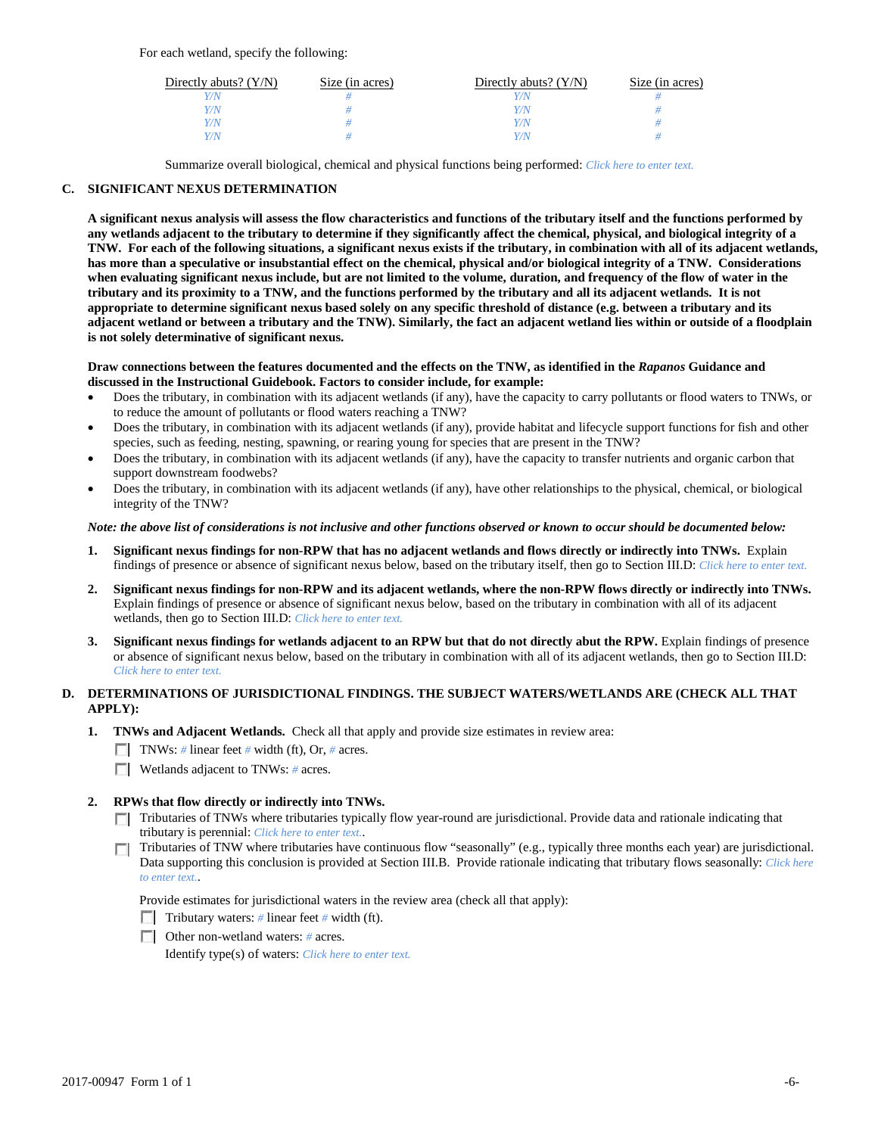For each wetland, specify the following:

| Directly abuts? $(Y/N)$ | Size (in acres) | Directly abuts? $(Y/N)$ | Size (in acres) |
|-------------------------|-----------------|-------------------------|-----------------|
|                         |                 |                         |                 |
| V/N                     |                 | Y/N                     |                 |
| V/N                     |                 | Y/N                     |                 |
|                         |                 | Y/N                     |                 |

Summarize overall biological, chemical and physical functions being performed: *Click here to enter text.*

## **C. SIGNIFICANT NEXUS DETERMINATION**

**A significant nexus analysis will assess the flow characteristics and functions of the tributary itself and the functions performed by any wetlands adjacent to the tributary to determine if they significantly affect the chemical, physical, and biological integrity of a TNW. For each of the following situations, a significant nexus exists if the tributary, in combination with all of its adjacent wetlands, has more than a speculative or insubstantial effect on the chemical, physical and/or biological integrity of a TNW. Considerations when evaluating significant nexus include, but are not limited to the volume, duration, and frequency of the flow of water in the tributary and its proximity to a TNW, and the functions performed by the tributary and all its adjacent wetlands. It is not appropriate to determine significant nexus based solely on any specific threshold of distance (e.g. between a tributary and its adjacent wetland or between a tributary and the TNW). Similarly, the fact an adjacent wetland lies within or outside of a floodplain is not solely determinative of significant nexus.** 

### **Draw connections between the features documented and the effects on the TNW, as identified in the** *Rapanos* **Guidance and discussed in the Instructional Guidebook. Factors to consider include, for example:**

- Does the tributary, in combination with its adjacent wetlands (if any), have the capacity to carry pollutants or flood waters to TNWs, or to reduce the amount of pollutants or flood waters reaching a TNW?
- Does the tributary, in combination with its adjacent wetlands (if any), provide habitat and lifecycle support functions for fish and other species, such as feeding, nesting, spawning, or rearing young for species that are present in the TNW?
- Does the tributary, in combination with its adjacent wetlands (if any), have the capacity to transfer nutrients and organic carbon that support downstream foodwebs?
- Does the tributary, in combination with its adjacent wetlands (if any), have other relationships to the physical, chemical, or biological integrity of the TNW?

### *Note: the above list of considerations is not inclusive and other functions observed or known to occur should be documented below:*

- **1. Significant nexus findings for non-RPW that has no adjacent wetlands and flows directly or indirectly into TNWs.** Explain findings of presence or absence of significant nexus below, based on the tributary itself, then go to Section III.D: *Click here to enter text.*
- **2. Significant nexus findings for non-RPW and its adjacent wetlands, where the non-RPW flows directly or indirectly into TNWs.**  Explain findings of presence or absence of significant nexus below, based on the tributary in combination with all of its adjacent wetlands, then go to Section III.D: *Click here to enter text.*
- **3. Significant nexus findings for wetlands adjacent to an RPW but that do not directly abut the RPW.** Explain findings of presence or absence of significant nexus below, based on the tributary in combination with all of its adjacent wetlands, then go to Section III.D: *Click here to enter text.*

# **D. DETERMINATIONS OF JURISDICTIONAL FINDINGS. THE SUBJECT WATERS/WETLANDS ARE (CHECK ALL THAT APPLY):**

- **1. TNWs and Adjacent Wetlands.** Check all that apply and provide size estimates in review area:
	- TNWs: *#* linear feet *#* width (ft), Or, *#* acres.
	- **Wetlands adjacent to TNWs: # acres.**

## **2. RPWs that flow directly or indirectly into TNWs.**

- Tributaries of TNWs where tributaries typically flow year-round are jurisdictional. Provide data and rationale indicating that tributary is perennial: *Click here to enter text.*.
- Tributaries of TNW where tributaries have continuous flow "seasonally" (e.g., typically three months each year) are jurisdictional.  $\mathcal{L}$ Data supporting this conclusion is provided at Section III.B. Provide rationale indicating that tributary flows seasonally: *Click here to enter text.*.

Provide estimates for jurisdictional waters in the review area (check all that apply):

- Tributary waters: # linear feet # width (ft).
- Other non-wetland waters: *#* acres.

Identify type(s) of waters: *Click here to enter text.*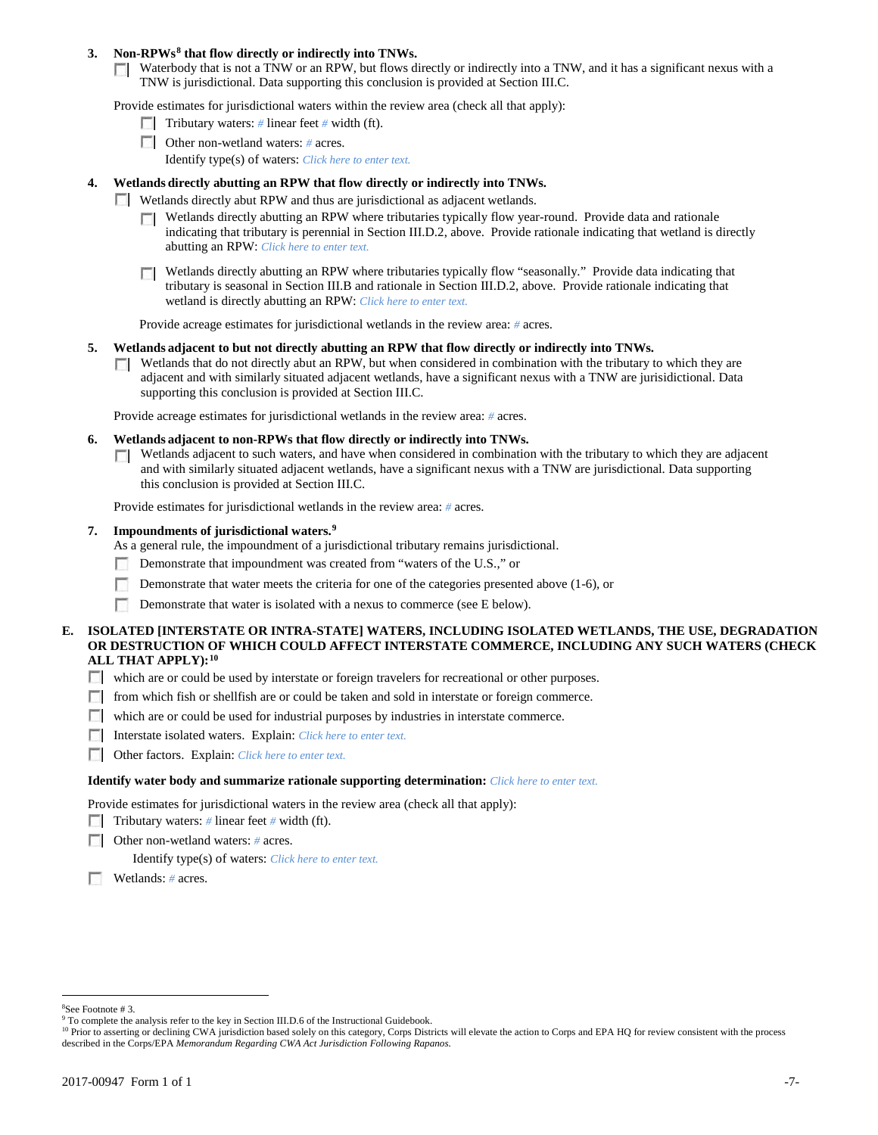### **3. Non-RPWs[8](#page-6-0) that flow directly or indirectly into TNWs.**

Waterbody that is not a TNW or an RPW, but flows directly or indirectly into a TNW, and it has a significant nexus with a TNW is jurisdictional. Data supporting this conclusion is provided at Section III.C.

Provide estimates for jurisdictional waters within the review area (check all that apply):

- **Tributary waters:** # linear feet # width (ft).
- Other non-wetland waters: *#* acres. Identify type(s) of waters: *Click here to enter text.*
- **4. Wetlands directly abutting an RPW that flow directly or indirectly into TNWs.**
	- **Wetlands directly abut RPW and thus are jurisdictional as adjacent wetlands.** 
		- $\Box$  Wetlands directly abutting an RPW where tributaries typically flow year-round. Provide data and rationale indicating that tributary is perennial in Section III.D.2, above. Provide rationale indicating that wetland is directly abutting an RPW: *Click here to enter text.*
		- Wetlands directly abutting an RPW where tributaries typically flow "seasonally." Provide data indicating that tributary is seasonal in Section III.B and rationale in Section III.D.2, above. Provide rationale indicating that wetland is directly abutting an RPW: *Click here to enter text.*

Provide acreage estimates for jurisdictional wetlands in the review area: *#* acres.

- **5. Wetlands adjacent to but not directly abutting an RPW that flow directly or indirectly into TNWs.**
	- $\Box$  Wetlands that do not directly abut an RPW, but when considered in combination with the tributary to which they are adjacent and with similarly situated adjacent wetlands, have a significant nexus with a TNW are jurisidictional. Data supporting this conclusion is provided at Section III.C.

Provide acreage estimates for jurisdictional wetlands in the review area: *#* acres.

- **6. Wetlands adjacent to non-RPWs that flow directly or indirectly into TNWs.** 
	- Wetlands adjacent to such waters, and have when considered in combination with the tributary to which they are adjacent Г. and with similarly situated adjacent wetlands, have a significant nexus with a TNW are jurisdictional. Data supporting this conclusion is provided at Section III.C.

Provide estimates for jurisdictional wetlands in the review area: *#* acres.

### **7. Impoundments of jurisdictional waters. [9](#page-6-1)**

As a general rule, the impoundment of a jurisdictional tributary remains jurisdictional.

- Demonstrate that impoundment was created from "waters of the U.S.," or
- Demonstrate that water meets the criteria for one of the categories presented above (1-6), or
- n Demonstrate that water is isolated with a nexus to commerce (see E below).
- **E. ISOLATED [INTERSTATE OR INTRA-STATE] WATERS, INCLUDING ISOLATED WETLANDS, THE USE, DEGRADATION OR DESTRUCTION OF WHICH COULD AFFECT INTERSTATE COMMERCE, INCLUDING ANY SUCH WATERS (CHECK ALL THAT APPLY):[10](#page-6-2)**
	- which are or could be used by interstate or foreign travelers for recreational or other purposes.
	- from which fish or shellfish are or could be taken and sold in interstate or foreign commerce.
	- which are or could be used for industrial purposes by industries in interstate commerce.
	- Interstate isolated waters.Explain: *Click here to enter text.*
	- Other factors.Explain: *Click here to enter text.*

#### **Identify water body and summarize rationale supporting determination:** *Click here to enter text.*

Provide estimates for jurisdictional waters in the review area (check all that apply):

- Tributary waters: # linear feet # width (ft).
- Other non-wetland waters: *#* acres.

Identify type(s) of waters: *Click here to enter text.*

Wetlands: *#* acres.

<span id="page-6-0"></span> $\frac{1}{8}$ See Footnote # 3.

<sup>&</sup>lt;sup>9</sup> To complete the analysis refer to the key in Section III.D.6 of the Instructional Guidebook.

<span id="page-6-2"></span><span id="page-6-1"></span><sup>&</sup>lt;sup>10</sup> Prior to asserting or declining CWA jurisdiction based solely on this category, Corps Districts will elevate the action to Corps and EPA HQ for review consistent with the process described in the Corps/EPA *Memorandum Regarding CWA Act Jurisdiction Following Rapanos.*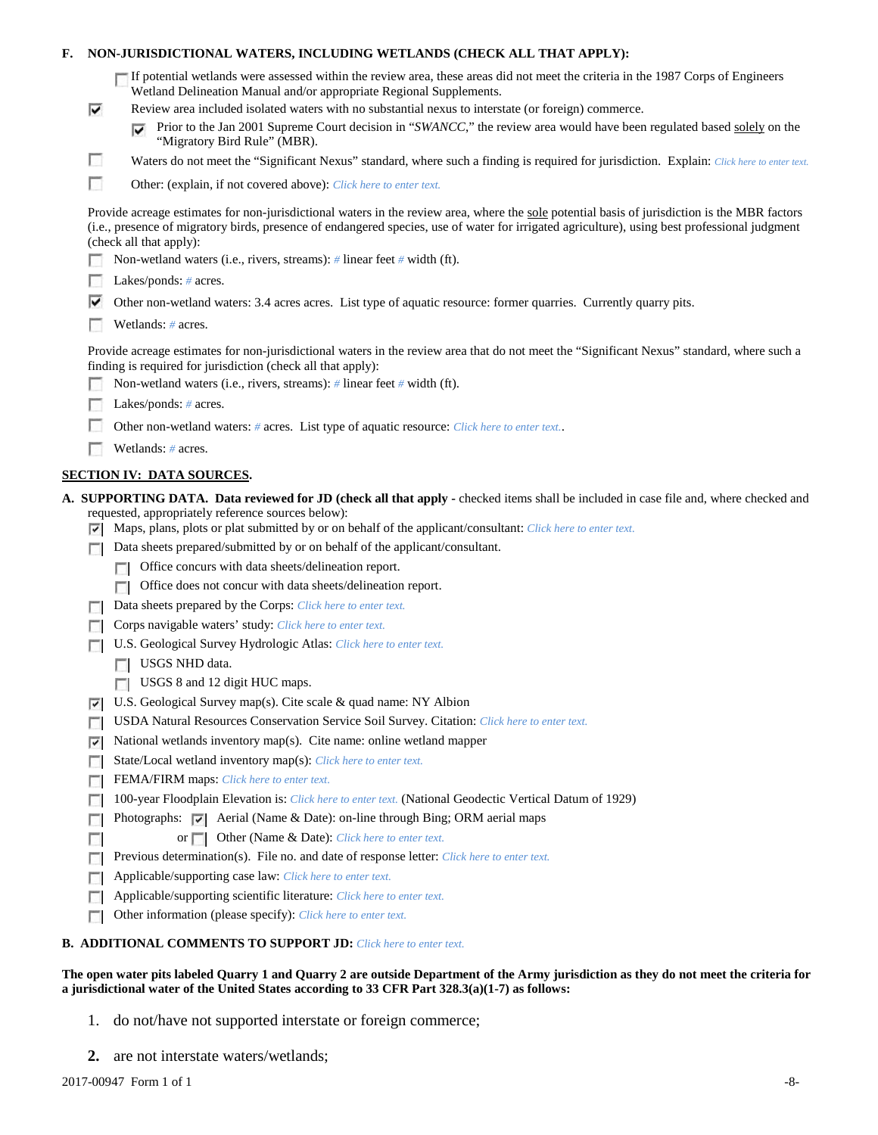| F. |    | NON-JURISDICTIONAL WATERS, INCLUDING WETLANDS (CHECK ALL THAT APPLY):                                                                                                                                                                                                                                                                                                                                                                          |
|----|----|------------------------------------------------------------------------------------------------------------------------------------------------------------------------------------------------------------------------------------------------------------------------------------------------------------------------------------------------------------------------------------------------------------------------------------------------|
|    | ⊽  | If potential wetlands were assessed within the review area, these areas did not meet the criteria in the 1987 Corps of Engineers<br>Wetland Delineation Manual and/or appropriate Regional Supplements.<br>Review area included isolated waters with no substantial nexus to interstate (or foreign) commerce.<br>Prior to the Jan 2001 Supreme Court decision in "SWANCC," the review area would have been regulated based solely on the<br>⊽ |
|    |    | "Migratory Bird Rule" (MBR).                                                                                                                                                                                                                                                                                                                                                                                                                   |
|    | n  | Waters do not meet the "Significant Nexus" standard, where such a finding is required for jurisdiction. Explain: Click here to enter text.                                                                                                                                                                                                                                                                                                     |
|    | г  | Other: (explain, if not covered above): Click here to enter text.                                                                                                                                                                                                                                                                                                                                                                              |
|    |    | Provide acreage estimates for non-jurisdictional waters in the review area, where the sole potential basis of jurisdiction is the MBR factors<br>(i.e., presence of migratory birds, presence of endangered species, use of water for irrigated agriculture), using best professional judgment<br>(check all that apply):                                                                                                                      |
|    |    | Non-wetland waters (i.e., rivers, streams): # linear feet # width (ft).                                                                                                                                                                                                                                                                                                                                                                        |
|    |    | Lakes/ponds: $# \, \text{acres.}$                                                                                                                                                                                                                                                                                                                                                                                                              |
|    | M  | Other non-wetland waters: 3.4 acres acres. List type of aquatic resource: former quarries. Currently quarry pits.                                                                                                                                                                                                                                                                                                                              |
|    |    | Wetlands: # acres.                                                                                                                                                                                                                                                                                                                                                                                                                             |
|    |    | Provide acreage estimates for non-jurisdictional waters in the review area that do not meet the "Significant Nexus" standard, where such a<br>finding is required for jurisdiction (check all that apply):                                                                                                                                                                                                                                     |
|    |    | Non-wetland waters (i.e., rivers, streams): $\#$ linear feet $\#$ width (ft).                                                                                                                                                                                                                                                                                                                                                                  |
|    |    | Lakes/ponds: $# \, \text{acres.}$                                                                                                                                                                                                                                                                                                                                                                                                              |
|    |    | Other non-wetland waters: # acres. List type of aquatic resource: Click here to enter text                                                                                                                                                                                                                                                                                                                                                     |
|    |    | Wetlands: # acres.                                                                                                                                                                                                                                                                                                                                                                                                                             |
|    |    | <b>SECTION IV: DATA SOURCES.</b>                                                                                                                                                                                                                                                                                                                                                                                                               |
|    |    | A. SUPPORTING DATA. Data reviewed for JD (check all that apply - checked items shall be included in case file and, where checked and                                                                                                                                                                                                                                                                                                           |
|    | 罓  | requested, appropriately reference sources below):<br>Maps, plans, plots or plat submitted by or on behalf of the applicant/consultant: Click here to enter text.                                                                                                                                                                                                                                                                              |
|    |    | Data sheets prepared/submitted by or on behalf of the applicant/consultant.                                                                                                                                                                                                                                                                                                                                                                    |
|    |    | Office concurs with data sheets/delineation report.                                                                                                                                                                                                                                                                                                                                                                                            |
|    |    | Office does not concur with data sheets/delineation report.                                                                                                                                                                                                                                                                                                                                                                                    |
|    |    | Data sheets prepared by the Corps: Click here to enter text.                                                                                                                                                                                                                                                                                                                                                                                   |
|    |    | Corps navigable waters' study: Click here to enter text.                                                                                                                                                                                                                                                                                                                                                                                       |
|    |    | U.S. Geological Survey Hydrologic Atlas: Click here to enter text.                                                                                                                                                                                                                                                                                                                                                                             |
|    |    | USGS NHD data.                                                                                                                                                                                                                                                                                                                                                                                                                                 |
|    |    | USGS 8 and 12 digit HUC maps.                                                                                                                                                                                                                                                                                                                                                                                                                  |
|    | V. | U.S. Geological Survey map(s). Cite scale $\&$ quad name: NY Albion                                                                                                                                                                                                                                                                                                                                                                            |
|    | п  | USDA Natural Resources Conservation Service Soil Survey. Citation: Click here to enter text.                                                                                                                                                                                                                                                                                                                                                   |
|    | ⊽  | National wetlands inventory map(s). Cite name: online wetland mapper                                                                                                                                                                                                                                                                                                                                                                           |
|    | п  | State/Local wetland inventory map(s): Click here to enter text.                                                                                                                                                                                                                                                                                                                                                                                |
|    | п  | FEMA/FIRM maps: Click here to enter text.                                                                                                                                                                                                                                                                                                                                                                                                      |
|    | г  | 100-year Floodplain Elevation is: Click here to enter text. (National Geodectic Vertical Datum of 1929)                                                                                                                                                                                                                                                                                                                                        |
|    |    | Photographs: $\vert \overline{\mathbf{v}} \vert$ Aerial (Name & Date): on-line through Bing; ORM aerial maps                                                                                                                                                                                                                                                                                                                                   |
|    | Е  | Other (Name & Date): Click here to enter text.<br>or $\Box$                                                                                                                                                                                                                                                                                                                                                                                    |
|    | г  | Previous determination(s). File no. and date of response letter: Click here to enter text.                                                                                                                                                                                                                                                                                                                                                     |
|    | п  | Applicable/supporting case law: Click here to enter text.                                                                                                                                                                                                                                                                                                                                                                                      |
|    | п  | Applicable/supporting scientific literature: Click here to enter text.                                                                                                                                                                                                                                                                                                                                                                         |
|    | г  | Other information (please specify): Click here to enter text.                                                                                                                                                                                                                                                                                                                                                                                  |
|    |    | <b>B. ADDITIONAL COMMENTS TO SUPPORT JD:</b> Click here to enter text.                                                                                                                                                                                                                                                                                                                                                                         |

### **The open water pits labeled Quarry 1 and Quarry 2 are outside Department of the Army jurisdiction as they do not meet the criteria for a jurisdictional water of the United States according to 33 CFR Part 328.3(a)(1-7) as follows:**

- 1. do not/have not supported interstate or foreign commerce;
- **2.** are not interstate waters/wetlands;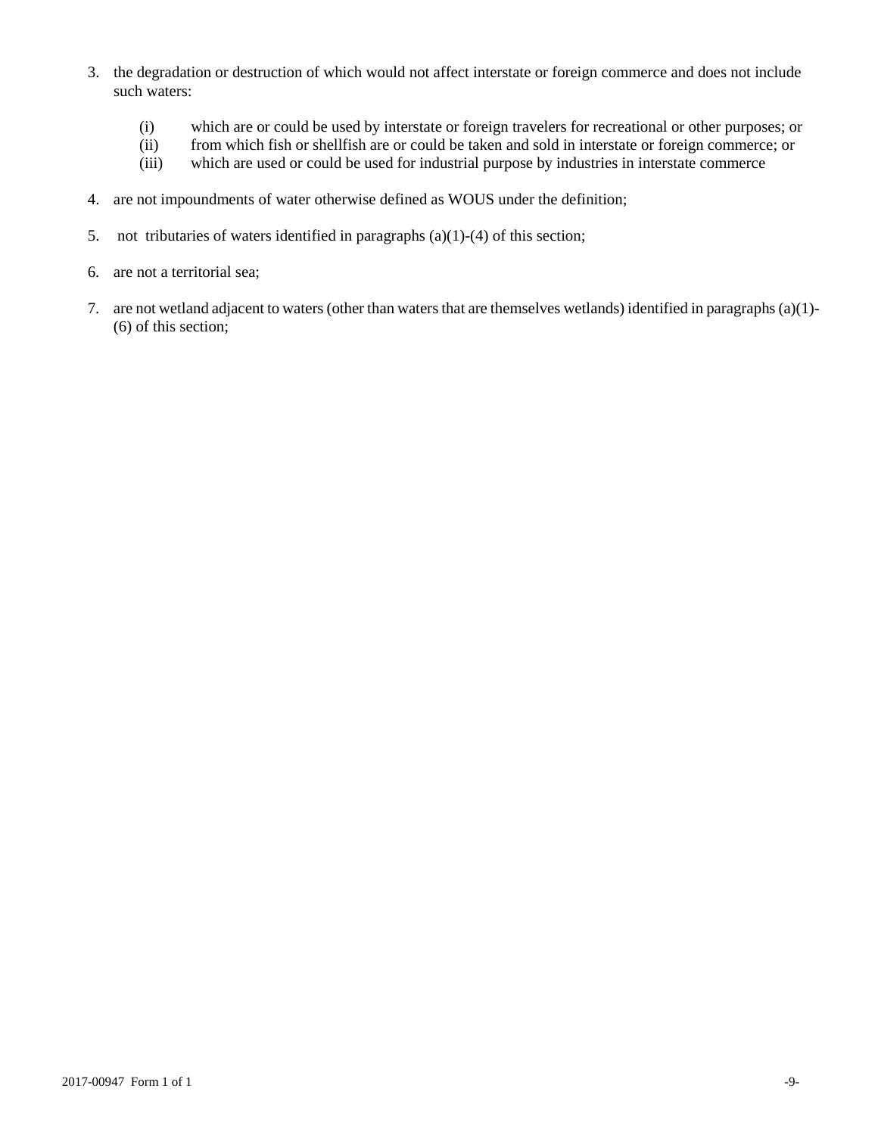- 3. the degradation or destruction of which would not affect interstate or foreign commerce and does not include such waters:
	- (i) which are or could be used by interstate or foreign travelers for recreational or other purposes; or
	- (ii) from which fish or shellfish are or could be taken and sold in interstate or foreign commerce; or
	- (iii) which are used or could be used for industrial purpose by industries in interstate commerce
- 4. are not impoundments of water otherwise defined as WOUS under the definition;
- 5. not tributaries of waters identified in paragraphs (a)(1)-(4) of this section;
- 6. are not a territorial sea;
- 7. are not wetland adjacent to waters (other than waters that are themselves wetlands) identified in paragraphs (a)(1)- (6) of this section;